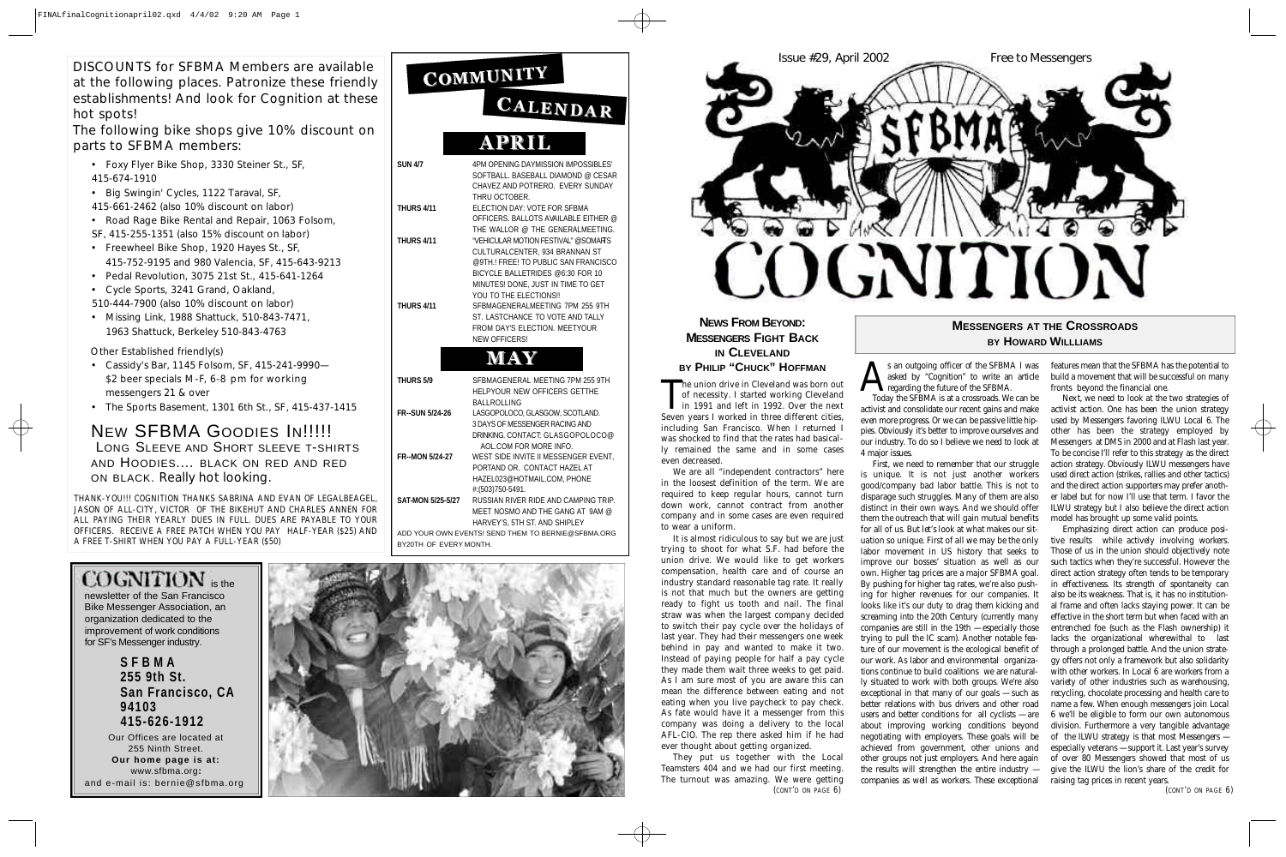| COMMUNITY                              |                                                                                                                                                                                                                                                                                                                                                    |
|----------------------------------------|----------------------------------------------------------------------------------------------------------------------------------------------------------------------------------------------------------------------------------------------------------------------------------------------------------------------------------------------------|
| CALENDAR                               |                                                                                                                                                                                                                                                                                                                                                    |
|                                        | <b>APRIL</b>                                                                                                                                                                                                                                                                                                                                       |
| <b>SUN 4/7</b>                         | 4PM OPENING DAYMISSION IMPOSSIBLES'<br>SOFTBALL, BASEBALL DIAMOND @ CESAR<br>CHAVEZ AND POTRERO. EVERY SUNDAY<br>THRU OCTOBER.                                                                                                                                                                                                                     |
| <b>THURS 4/11</b>                      | ELECTION DAY: VOTE FOR SFBMA<br>OFFICERS. BALLOTS AVAILABLE EITHER @<br>THE WALLOR @ THE GENERALMEETING.                                                                                                                                                                                                                                           |
| <b>THURS 4/11</b><br><b>THURS 4/11</b> | "VEHICULAR MOTION FESTIVAL" @SOMARTS<br>CULTURALCENTER, 934 BRANNAN ST<br>@9TH.! FREE! TO PUBLIC SAN FRANCISCO<br>BICYCLE BALLETRIDES @6:30 FOR 10<br>MINUTES! DONE. JUST IN TIME TO GET<br>YOU TO THE ELECTIONS!!<br>SFBMAGENERALMEETING 7PM 255 9TH<br>ST. LASTCHANCE TO VOTE AND TALLY<br>FROM DAY'S ELECTION. MEETYOUR<br><b>NEW OFFICERS!</b> |
|                                        | <b>MAY</b>                                                                                                                                                                                                                                                                                                                                         |
| THURS 5/9<br>FR--SUN 5/24-26           | SFBMAGENERAL MEETING 7PM 255 9TH<br>HELPYOUR NEW OFFICERS GETTHE<br><b>BALLROLLING</b><br>LASGOPOLOCO, GLASGOW, SCOTLAND.                                                                                                                                                                                                                          |
|                                        | 3 DAYS OF MESSENGER RACING AND<br>DRINKING, CONTACT: GLASGOPOLOCO@                                                                                                                                                                                                                                                                                 |

AOL.COM FOR MORE INFO. **FR--MON 5/24-27** WEST SIDE INVITE II MESSENGER EVENT, PORTAND OR. CONTACT HAZEL AT HAZEL023@HOTMAIL.COM, PHONE #:(503)750-5491. **SAT-MON 5/25-5/27** RUSSIAN RIVER RIDE AND CAMPING TRIP. MEET NOSMO AND THE GANG AT 9AM @ HARVEY'S, 5TH ST. AND SHIPLEY

ADD YOUR OWN EVENTS! SEND THEM TO BERNIE@SFBMA.ORG BY20TH OF EVERY MONTH.



newsletter of the San Francisco Bike Messenger Association, an organization dedicated to the improvement of work conditions for SF's Messenger industry.

#### **S F B M A 255 9th St. San Francisco, CA 9 4 1 0 3 4 1 5 - 6 2 6 - 1 9 1 2**

#### **NEWS FROM BEYOND: MESSENGERS FIGHT BACK IN CLEVELAND BY PHILIP "CHUCK" HOFFMAN**

Our Offices are located at 255 Ninth Street. **Our home page is at:** www.sfbma.org: and e-mail is: bernie@sfbma.org



The union drive in Cleveland was born out<br>of necessity. I started working Cleveland<br>in 1991 and left in 1992. Over the next<br>Seven years I worked in three different cities, The union drive in Cleveland was born out of necessity. I started working Cleveland in 1991 and left in 1992. Over the next including San Francisco. When I returned I was shocked to find that the rates had basically remained the same and in some cases even decreased.

### DISCOUNTS for SFBMA Members are available at the following places. Patronize these friendly establishments! And look for *Cognition* at these hot spots!

We are all "independent contractors" here in the loosest definition of the term. We are required to keep regular hours, cannot turn down work, cannot contract from another company and in some cases are even required to wear a uniform.

The following bike shops give 10% discount on parts to SFBMA members:

- Foxy Flyer Bike Shop, 3330 Steiner St., SF, 415-674-1910
- Big Swingin' Cycles, 1122 Taraval, SF,
- 415-661-2462 (also 10% discount on labor)
- Road Rage Bike Rental and Repair, 1063 Folsom,
- SF, 415-255-1351 (also 15% discount on labor)
- Freewheel Bike Shop, 1920 Hayes St., SF, 415-752-9195 and 980 Valencia, SF, 415-643-9213
- Pedal Revolution, 3075 21st St., 415-641-1264
- Cycle Sports, 3241 Grand, Oakland,
- 510-444-7900 (also 10% discount on labor)
- Missing Link, 1988 Shattuck, 510-843-7471, 1963 Shattuck, Berkeley 510-843-4763

S an outgoing officer of the SFBMA I was<br>asked by "Cognition" to write an article<br>regarding the future of the SFBMA.<br>Today the SFBMA is at a crossroads. We can be asked by "Cognition" to write an article regarding the future of the SFBMA.

#### Other Established friendly(s)

- Cassidy's Bar, 1145 Folsom, SF, 415-241-9990— \$2 beer specials M-F,  $6-8$  pm for working messengers 21 & over
- The Sports Basement, 1301 6th St., SF, 415-437-1415

#### NEW SFBMA GOODIES IN!!!!! LONG SLEEVE AND SHORT SLEEVE T-SHIRTS

AND HOODIES.... BLACK ON RED AND RED ON BLACK. Really hot looking.

disparage such struggles. Many of them are also distinct in their own ways. And we should offer them the outreach that will gain mutual benefits for all of us. But let's look at what makes our sitlabor movement in US history that seeks to looks like it's our duty to drag them kicking and screaming into the 20th Century (currently many companies are still in the 19th — especially those trying to pull the IC scam). Another notable feature of our movement is the ecological benefit of our work. As labor and environmental organizations continue to build coalitions we are naturally situated to work with both groups. We're also better relations with bus drivers and other road negotiating with employers. These goals will be achieved from government, other unions and companies as well as workers. These exceptional raising tag prices in recent years.

s an outgoing officer of the SFBMA I was features mean that the SFBMA has the potential to build a movement that will be successful on many fronts beyond the financial one.

pies. Obviously it's better to improve ourselves and other has been the strategy employed by First, we need to remember that our struggle action strategy. Obviously ILWU messengers have is unique. It is not just another workers used direct action (strikes, rallies and other tactics) good/company bad labor battle. This is not to and the direct action supporters may prefer anoth-Next, we need to look at the two strategies of activist action. One has been the union strategy used by Messengers favoring ILWU Local 6. The Messengers at DMS in 2000 and at Flash last year. To be concise I'll refer to this strategy as the direct er label but for now I'll use that term. I favor the ILWU strategy but I also believe the direct action model has brought up some valid points.

It is almost ridiculous to say but we are just trying to shoot for what S.F. had before the union drive. We would like to get workers compensation, health care and of course an industry standard reasonable tag rate. It really is not that much but the owners are getting ready to fight us tooth and nail. The final straw was when the largest company decided to switch their pay cycle over the holidays of last year. They had their messengers one week behind in pay and wanted to make it two. Instead of paying people for half a pay cycle they made them wait three weeks to get paid. As I am sure most of you are aware this can mean the difference between eating and not eating when you live paycheck to pay check. As fate would have it a messenger from this company was doing a delivery to the local AFL-CIO. The rep there asked him if he had ever thought about getting organized.

uation so unique. First of all we may be the only tive results while actively involving workers. improve our bosses' situation as well as our such tactics when they're successful. However the own. Higher tag prices are a major SFBMA goal. direct action strategy often tends to be temporary By pushing for higher tag rates, we're also push-in effectiveness. Its strength of spontaneity can ing for higher revenues for our companies. It also be its weakness. That is, it has no institutionexceptional in that many of our goals – such as recycling, chocolate processing and health care to users and better conditions for all cyclists — are 6 we'll be eligible to form our own autonomous about improving working conditions beyond division. Furthermore a very tangible advantage other groups not just employers. And here again of over 80 Messengers showed that most of us the results will strengthen the entire industry — give the ILWU the lion's share of the credit for Emphasizing direct action can produce posi-Those of us in the union should objectively note al frame and often lacks staying power. It can be effective in the short term but when faced with an entrenched foe (such as the Flash ownership) it lacks the organizational wherewithal to last through a prolonged battle. And the union strategy offers not only a framework but also solidarity with other workers. In Local 6 are workers from a variety of other industries such as warehousing, name a few. When enough messengers join Local of the ILWU strategy is that most Messengers especially veterans — support it. Last year's survey

They put us together with the Local Teamsters 404 and we had our first meeting. The turnout was amazing. We were getting *(CONT'D ON PAGE 6) (CONT'D ON PAGE 6)*

activist and consolidate our recent gains and make even more progress. Or we can be passive little hipour industry. To do so I believe we need to look at

4 major issues.

#### **MESSENGERS AT THE CROSSROADS BY HOWARD WILLLIAMS**

THANK-YOU!!! *COGNITION* THANKS SABRINA AND EVAN OF LEGALBEAGEL, JASON OF ALL-CITY, VICTOR OF THE BIKEHUT AND CHARLES ANNEN FOR ALL PAYING THEIR YEARLY DUES IN FULL. DUES ARE PAYABLE TO YOUR OFFICERS. RECEIVE A FREE PATCH WHEN YOU PAY HALF-YEAR (\$25) AND A FREE T-SHIRT WHEN YOU PAY A FULL-YEAR (\$50)

# $CO$ GNITION  $s$  the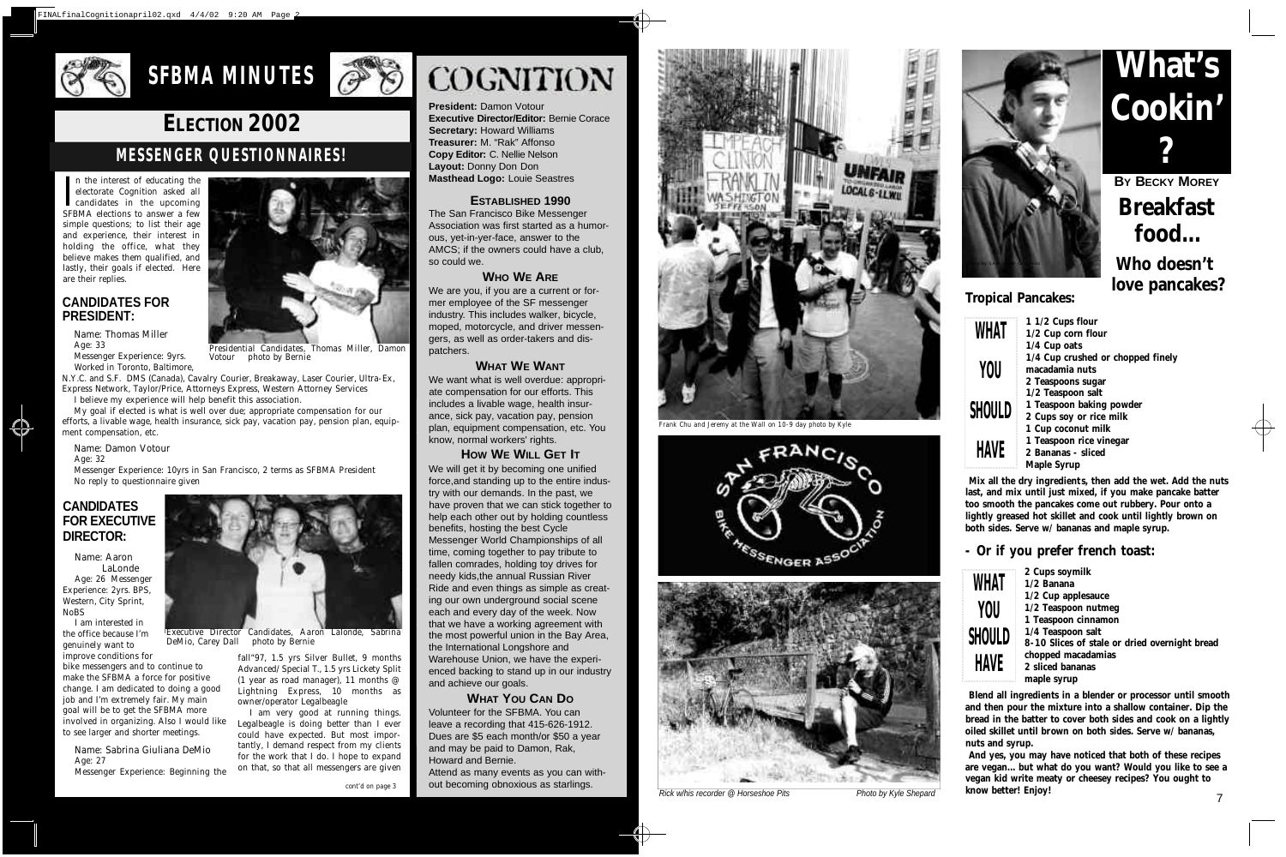**President:** Damon Votour **Executive Director/Editor: Bernie Corace Secretary: Howard Williams Treasurer:** M. "Rak" Affonso **Copy Editor: C. Nellie Nelson Layout:** Donny Don Don **Masthead Logo:** Louie Seastres

#### **ESTABLISHED 1990**

The San Francisco Bike Messenger Association was first started as a humorous, yet-in-yer-face, answer to the AMCS; if the owners could have a club, so could we.

#### **WHO WE ARE**

We are you, if you are a current or former employee of the SF messenger industry. This includes walker, bicycle, moped, motorcycle, and driver messengers, as well as order-takers and dispatchers.

#### **WHAT WE WANT**

We want what is well overdue: appropriate compensation for our efforts. This includes a livable wage, health insurance, sick pay, vacation pay, pension plan, equipment compensation, etc. You know, normal workers' rights.

#### **HOW WE WILL GET IT**

We will get it by becoming one unified force,and standing up to the entire industry with our demands. In the past, we have proven that we can stick together to help each other out by holding countless benefits, hosting the best Cycle Messenger World Championships of all time, coming together to pay tribute to fallen comrades, holding toy drives for needy kids,the annual Russian River Ride and even things as simple as creating our own underground social scene each and every day of the week. Now that we have a working agreement with the most powerful union in the Bay Area, the International Longshore and Warehouse Union, we have the experienced backing to stand up in our industry and achieve our goals.

#### **WHAT YOU CAN DO**

Volunteer for the SFBMA. You can leave a recording that 415-626-1912. Dues are \$5 each month/or \$50 a year and may be paid to Damon, Rak, Howard and Bernie.

Attend as many events as you can without becoming obnoxious as starlings.

In the interest of educating the<br>electorate Cognition asked all<br>candidates in the upcoming<br>SFRMA elections to answer a few n the interest of educating the electorate Cognition asked all SFBMA elections to answer a few simple questions; to list their age and experience, their interest in holding the office, what they believe makes them qualified, and lastly, their goals if elected. Here are their replies.

## **MESSENGER QUESTIONNAIRES!**

**Who doesn't love pancakes?**

### **Tropical Pancakes:**

**Mix all the dry ingredients, then add the wet. Add the nuts last, and mix until just mixed, if you make pancake batter too smooth the pancakes come out rubbery. Pour onto a lightly greased hot skillet and cook until lightly brown on both sides. Serve w/ bananas and maple syrup.**

### **- Or if you prefer french toast:**

**2 Cups soymilk**

**Breakfast food... BY BECKY MOREY**

- **1/2 Banana 1/2 Cup applesauce 1/2 Teaspoon nutmeg 1 Teaspoon cinnamon 1/4 Teaspoon salt 8-10 Slices of stale or dried overnight bread chopped macadamias**
- **2 sliced bananas**

**1 1/2 Cups flour 1/2 Cup corn flour 1/4 Cup oats 1/4 Cup crushed or chopped finely macadamia nuts 2 Teaspoons sugar 1/2 Teaspoon salt 1 Teaspoon baking powder 2 Cups soy or rice milk 1 Cup coconut milk 1 Teaspoon rice vinegar 2 Bananas - sliced Maple Syrup WHAT YOU SHOULD HAVE**

**maple syrup**

**Blend all ingredients in a blender or processor until smooth and then pour the mixture into a shallow container. Dip the bread in the batter to cover both sides and cook on a lightly oiled skillet until brown on both sides. Serve w/ bananas, nuts and syrup.**

**And yes, you may have noticed that both of these recipes are vegan... but what do you want? Would you like to see a vegan kid write meaty or cheesey recipes? You ought to know better! Enjoy!**





*Rick w/his recorder @ Horseshoe Pits Photo by Kyle Shepard*

**WHAT YOU SHOULD HAVE**

Name: Aaron

LaLonde Age: 26 Messenger Experience: 2yrs. BPS, Western, City Sprint, NoBS

I am interested in the office because I'm genuinely want to improve conditions for

bike messengers and to continue to make the SFBMA a force for positive change. I am dedicated to doing a good job and I'm extremely fair. My main goal will be to get the SFBMA more involved in organizing. Also I would like to see larger and shorter meetings.

Name: Sabrina Giuliana DeMio Age: 27

Messenger Experience: Beginning the

fall"97, 1.5 yrs Silver Bullet, 9 months Advanced/ Special T., 1.5 yrs Lickety Split (1 year as road manager), 11 months @ Lightning Express, 10 months as owner/operator Legalbeagle

I am very good at running things. Legalbeagle is doing better than I ever could have expected. But most importantly, I demand respect from my clients for the work that I do. I hope to expand on that, so that all messengers are given

# **ELECTION 2002**

#### **CANDIDATES FOR PRESIDENT:**

Name: Thomas Miller Age: 33

Messenger Experience: 9yrs. Worked in Toronto, Baltimore,

N.Y.C. and S.F. DMS (Canada), Cavalry Courier, Breakaway, Laser Courier, Ultra-Ex, Express Network, Taylor/Price, Attorneys Express, Western Attorney Services

I believe my experience will help benefit this association. My goal if elected is what is well over due; appropriate compensation for our

efforts, a livable wage, health insurance, sick pay, vacation pay, pension plan, equipment compensation, etc.

Name: Damon Votour

Age: 32

</u>

Messenger Experience: 10yrs in San Francisco, 2 terms as SFBMA President No reply to questionnaire given

#### **CANDIDATES FOR EXECUTIVE DIRECTOR:**



*Votour photo by Bernie*



*Executive Director Candidates, Aaron Lalonde, Sabrina DeMio, Carey Dall photo by Bernie*

*cont'd on page 3*

# **COGNITION**



*Frank Chu and Jeremy at the Wall on 10-9 day photo by Kyle*







# SFBMA MINUTES **8**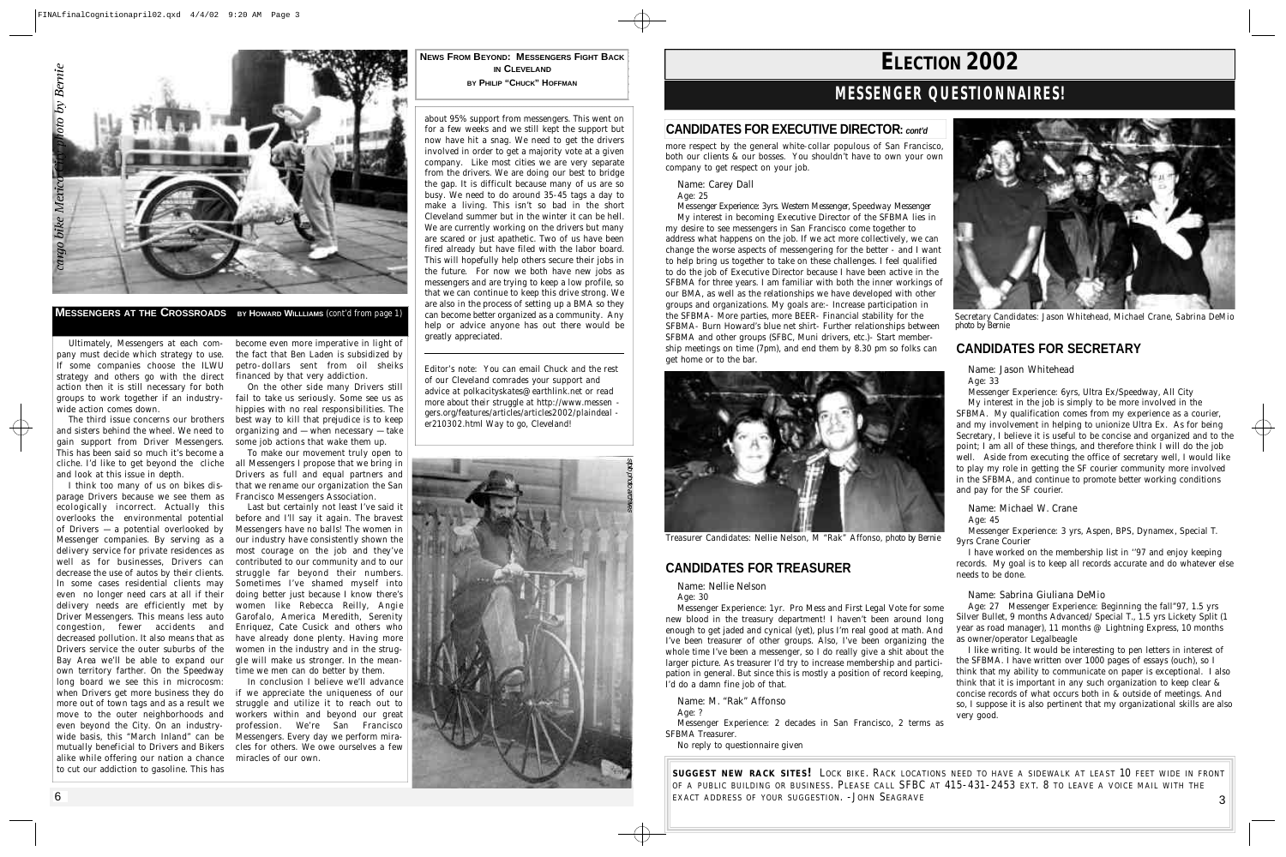Ultimately, Messengers at each company must decide which strategy to use. If some companies choose the ILWU strategy and others go with the direct action then it is still necessary for both groups to work together if an industrywide action comes down.

The third issue concerns our brothers and sisters behind the wheel. We need to organizing and – when necessary – take gain support from Driver Messengers. This has been said so much it's become a cliche. I'd like to get beyond the cliche and look at this issue in depth.

I think too many of us on bikes disparage Drivers because we see them as Francisco Messengers Association. ecologically incorrect. Actually this overlooks the environmental potential of Drivers — a potential overlooked by Messengers have no balls! The women in Messenger companies. By serving as a our industry have consistently shown the delivery service for private residences as most courage on the job and they've well as for businesses, Drivers can contributed to our community and to our decrease the use of autos by their clients. In some cases residential clients may Sometimes I've shamed myself into even no longer need cars at all if their delivery needs are efficiently met by Driver Messengers. This means less auto congestion, fewer accidents and decreased pollution. It also means that as Drivers service the outer suburbs of the Bay Area we'll be able to expand our own territory farther. On the Speedway long board we see this in microcosm: when Drivers get more business they do more out of town tags and as a result we move to the outer neighborhoods and even beyond the City. On an industrywide basis, this "March Inland" can be mutually beneficial to Drivers and Bikers cles for others. We owe ourselves a few alike while offering our nation a chance to cut our addiction to gasoline. This has

become even more imperative in light of the fact that Ben Laden is subsidized by petro-dollars sent from oil sheiks financed by that very addiction.

On the other side many Drivers still fail to take us seriously. Some see us as hippies with no real responsibilities. The best way to kill that prejudice is to keep some job actions that wake them up.

To make our movement truly open to all Messengers I propose that we bring in Drivers as full and equal partners and that we rename our organization the San

Last but certainly not least I've said it before and I'll say it again. The bravest struggle far beyond their numbers. doing better just because I know there's women like Rebecca Reilly, Angie Garofalo, America Meredith, Serenity Enriquez, Cate Cusick and others who have already done plenty. Having more women in the industry and in the struggle will make us stronger. In the meantime we men can do better by them.

In conclusion I believe we'll advance if we appreciate the uniqueness of our struggle and utilize it to reach out to workers within and beyond our great profession. We're San Francisco Messengers. Every day we perform miramiracles of our own.

**MESSENGERS AT THE CROSSROADS BY HOWARD WILLLIAMS** *(cont'd from page 1)*

 $\bigoplus$ 

#### **NEWS FROM BEYOND: MESSENGERS FIGHT BACK IN CLEVELAND BY PHILIP "CHUCK" HOFFMAN**

more respect by the general white-collar populous of San Francisco, both our clients & our bosses. You shouldn't have to own your own company to get respect on your job.

Name: Carey Dall

Age: 25

Messenger Experience: 3yrs. Western Messenger, Speedway Messenger My interest in becoming Executive Director of the SFBMA lies in my desire to see messengers in San Francisco come together to address what happens on the job. If we act more collectively, we can change the worse aspects of messengering for the better - and I want to help bring us together to take on these challenges. I feel qualified to do the job of Executive Director because I have been active in the SFBMA for three years. I am familiar with both the inner workings of our BMA, as well as the relationships we have developed with other groups and organizations. My goals are:- Increase participation in the SFBMA- More parties, more BEER- Financial stability for the SFBMA- Burn Howard's blue net shirt- Further relationships between SFBMA and other groups (SFBC, Muni drivers, etc.)- Start membership meetings on time (7pm), and end them by 8.30 pm so folks can get home or to the bar.

#### **CANDIDATES FOR TREASURER**

Name: Nellie Nelson

Age: 30

Messenger Experience: 1yr. Pro Mess and First Legal Vote for some new blood in the treasury department! I haven't been around long enough to get jaded and cynical (yet), plus I'm real good at math. And I've been treasurer of other groups. Also, I've been organizing the whole time I've been a messenger, so I do really give a shit about the larger picture. As treasurer I'd try to increase membership and participation in general. But since this is mostly a position of record keeping, I'd do a damn fine job of that.

Name: M. "Rak" Affonso

Age: ?

Messenger Experience: 2 decades in San Francisco, 2 terms as SFBMA Treasurer.

No reply to questionnaire given

SUGGEST NEW RACK SITES! LOCK BIKE. RACK LOCATIONS NEED TO HAVE A SIDEWALK AT LEAST 10 FEET WIDE IN FRONT OF A PUBLIC BUILDING OR BUSINESS. PLEASE CALL SFBC AT  $415-431-2453$  EXT.  $8$  TO LEAVE A VOICE MAIL WITH THE  $\parallel$ EXACT ADDRESS OF YOUR SUGGESTION. -JOHN  $S$ EAGRAVE  $3$ 

### **CANDIDATES FOR SECRETARY**

Name: Jason Whitehead Age: 33

Messenger Experience: 6yrs, Ultra Ex/Speedway, All City My interest in the job is simply to be more involved in the SFBMA. My qualification comes from my experience as a courier, and my involvement in helping to unionize Ultra Ex. As for being Secretary, I believe it is useful to be concise and organized and to the point; I am all of these things, and therefore think I will do the job well. Aside from executing the office of secretary well, I would like to play my role in getting the SF courier community more involved in the SFBMA, and continue to promote better working conditions and pay for the SF courier.

Name: Michael W. Crane

Age: 45

Messenger Experience: 3 yrs, Aspen, BPS, Dynamex, Special T. 9yrs Crane Courier

I have worked on the membership list in ''97 and enjoy keeping records. My goal is to keep all records accurate and do whatever else needs to be done.

#### Name: Sabrina Giuliana DeMio

Age: 27 Messenger Experience: Beginning the fall"97, 1.5 yrs Silver Bullet, 9 months Advanced/ Special T., 1.5 yrs Lickety Split (1 year as road manager), 11 months @ Lightning Express, 10 months as owner/operator Legalbeagle

I like writing. It would be interesting to pen letters in interest of the SFBMA. I have written over 1000 pages of essays (ouch), so I think that my ability to communicate on paper is exceptional. I also think that it is important in any such organization to keep clear & concise records of what occurs both in & outside of meetings. And so, I suppose it is also pertinent that my organizational skills are also very good.

# **MESSENGER QUESTIONNAIRES! ELECTION 2002**

#### **CANDIDATES FOR EXECUTIVE DIRECTOR:** *cont*



*Treasurer Candidates: Nellie Nelson, M "Rak" Affonso, photo by Bernie*



*Secretary Candidates: Jason Whitehead, Michael Crane, Sabrina DeMio photo by Bernie*

about 95% support from messengers. This went on for a few weeks and we still kept the support but now have hit a snag. We need to get the drivers involved in order to get a majority vote at a given company. Like most cities we are very separate from the drivers. We are doing our best to bridge the gap. It is difficult because many of us are so busy. We need to do around 35-45 tags a day to make a living. This isn't so bad in the short Cleveland summer but in the winter it can be hell. We are currently working on the drivers but many are scared or just apathetic. Two of us have been fired already but have filed with the labor board. This will hopefully help others secure their jobs in the future. For now we both have new jobs as messengers and are trying to keep a low profile, so that we can continue to keep this drive strong. We are also in the process of setting up a BMA so they can become better organized as a community. Any help or advice anyone has out there would be greatly appreciated.

*Editor's note: You can email Chuck and the rest of our Cleveland comrades your support and advice at polkacityskates@earthlink.net or read more about their struggle at http://www.messen gers.org/features/articles/articles2002/plaindeal er210302.html Way to go, Cleveland!* 



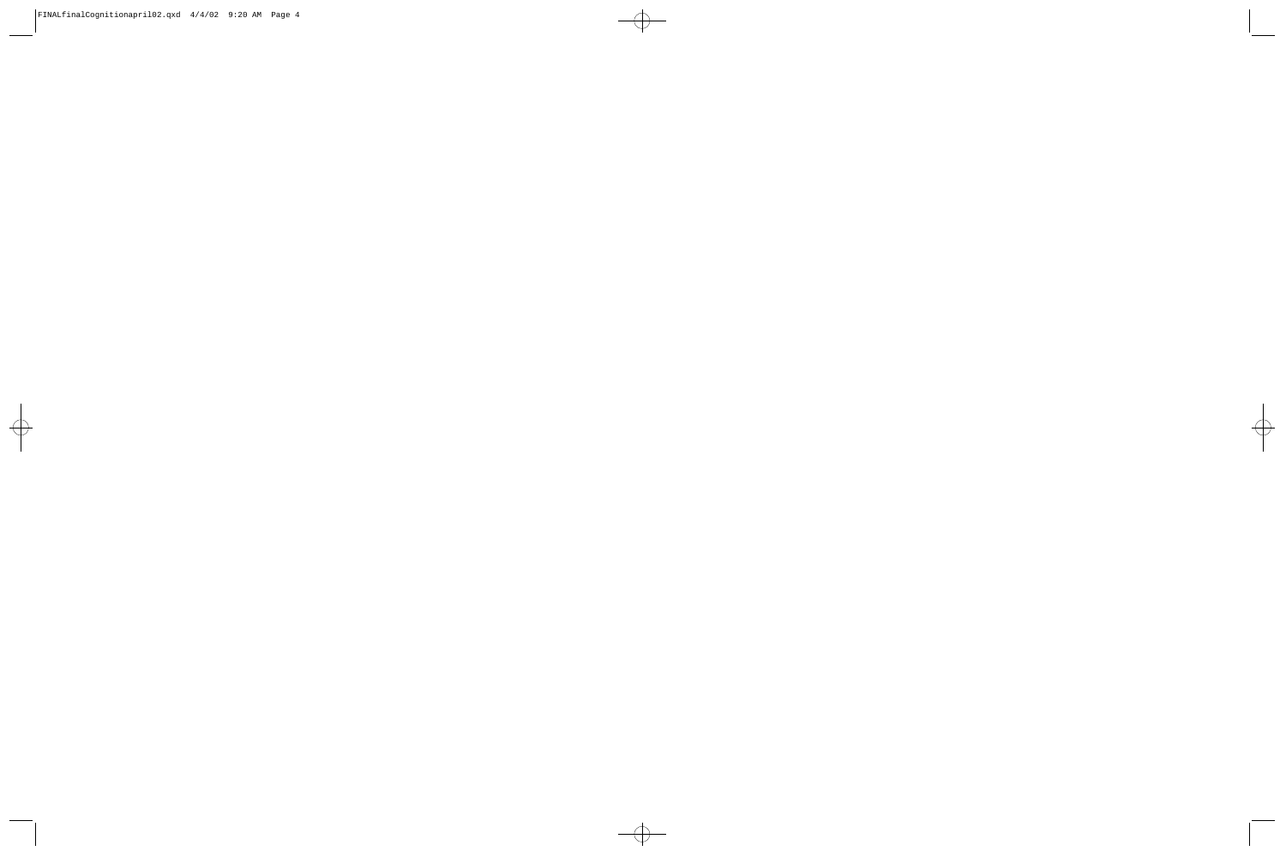FINALfinalCognitionapril02.qxd 4/4/02 9:20 AM Page 4

 $\Rightarrow$ 

 $\overline{\bigoplus}$ 

 $\bigoplus$ 

 $\bigoplus$